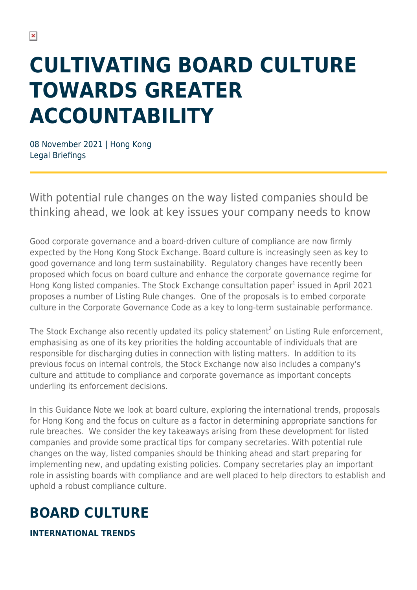# **CULTIVATING BOARD CULTURE TOWARDS GREATER ACCOUNTABILITY**

08 November 2021 | Hong Kong Legal Briefings

With potential rule changes on the way listed companies should be thinking ahead, we look at key issues your company needs to know

Good corporate governance and a board-driven culture of compliance are now firmly expected by the Hong Kong Stock Exchange. Board culture is increasingly seen as key to good governance and long term sustainability. Regulatory changes have recently been proposed which focus on board culture and enhance the corporate governance regime for Hong Kong listed companies. The Stock Exchange consultation paper<sup>1</sup> issued in April 2021 proposes a number of Listing Rule changes. One of the proposals is to embed corporate culture in the Corporate Governance Code as a key to long-term sustainable performance.

The Stock Exchange also recently updated its policy statement<sup>2</sup> on Listing Rule enforcement, emphasising as one of its key priorities the holding accountable of individuals that are responsible for discharging duties in connection with listing matters. In addition to its previous focus on internal controls, the Stock Exchange now also includes a company's culture and attitude to compliance and corporate governance as important concepts underling its enforcement decisions.

In this Guidance Note we look at board culture, exploring the international trends, proposals for Hong Kong and the focus on culture as a factor in determining appropriate sanctions for rule breaches. We consider the key takeaways arising from these development for listed companies and provide some practical tips for company secretaries. With potential rule changes on the way, listed companies should be thinking ahead and start preparing for implementing new, and updating existing policies. Company secretaries play an important role in assisting boards with compliance and are well placed to help directors to establish and uphold a robust compliance culture.

### **BOARD CULTURE**

**INTERNATIONAL TRENDS**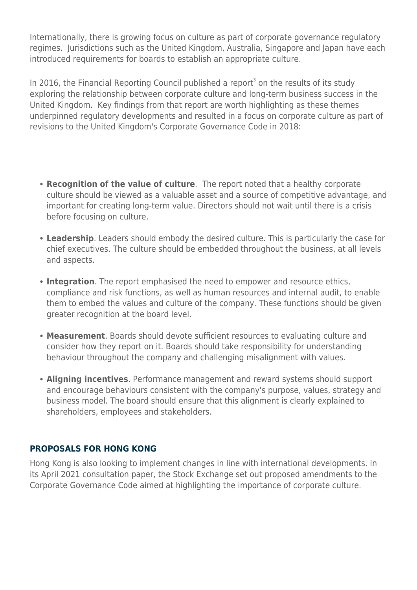Internationally, there is growing focus on culture as part of corporate governance regulatory regimes. Jurisdictions such as the United Kingdom, Australia, Singapore and Japan have each introduced requirements for boards to establish an appropriate culture.

In 2016, the Financial Reporting Council published a report<sup>3</sup> on the results of its study exploring the relationship between corporate culture and long-term business success in the United Kingdom. Key findings from that report are worth highlighting as these themes underpinned regulatory developments and resulted in a focus on corporate culture as part of revisions to the United Kingdom's Corporate Governance Code in 2018:

- **Recognition of the value of culture**. The report noted that a healthy corporate culture should be viewed as a valuable asset and a source of competitive advantage, and important for creating long-term value. Directors should not wait until there is a crisis before focusing on culture.
- **Leadership**. Leaders should embody the desired culture. This is particularly the case for chief executives. The culture should be embedded throughout the business, at all levels and aspects.
- **Integration**. The report emphasised the need to empower and resource ethics, compliance and risk functions, as well as human resources and internal audit, to enable them to embed the values and culture of the company. These functions should be given greater recognition at the board level.
- **Measurement**. Boards should devote sufficient resources to evaluating culture and consider how they report on it. Boards should take responsibility for understanding behaviour throughout the company and challenging misalignment with values.
- **Aligning incentives**. Performance management and reward systems should support and encourage behaviours consistent with the company's purpose, values, strategy and business model. The board should ensure that this alignment is clearly explained to shareholders, employees and stakeholders.

#### **PROPOSALS FOR HONG KONG**

Hong Kong is also looking to implement changes in line with international developments. In its April 2021 consultation paper, the Stock Exchange set out proposed amendments to the Corporate Governance Code aimed at highlighting the importance of corporate culture.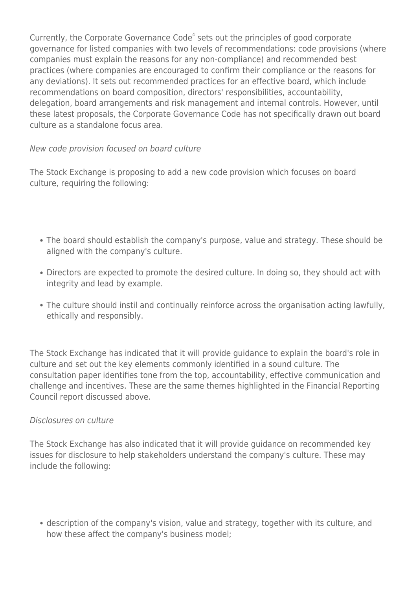Currently, the Corporate Governance Code<sup>4</sup> sets out the principles of good corporate governance for listed companies with two levels of recommendations: code provisions (where companies must explain the reasons for any non-compliance) and recommended best practices (where companies are encouraged to confirm their compliance or the reasons for any deviations). It sets out recommended practices for an effective board, which include recommendations on board composition, directors' responsibilities, accountability, delegation, board arrangements and risk management and internal controls. However, until these latest proposals, the Corporate Governance Code has not specifically drawn out board culture as a standalone focus area.

### New code provision focused on board culture

The Stock Exchange is proposing to add a new code provision which focuses on board culture, requiring the following:

- The board should establish the company's purpose, value and strategy. These should be aligned with the company's culture.
- Directors are expected to promote the desired culture. In doing so, they should act with integrity and lead by example.
- The culture should instil and continually reinforce across the organisation acting lawfully, ethically and responsibly.

The Stock Exchange has indicated that it will provide guidance to explain the board's role in culture and set out the key elements commonly identified in a sound culture. The consultation paper identifies tone from the top, accountability, effective communication and challenge and incentives. These are the same themes highlighted in the Financial Reporting Council report discussed above.

#### Disclosures on culture

The Stock Exchange has also indicated that it will provide guidance on recommended key issues for disclosure to help stakeholders understand the company's culture. These may include the following:

description of the company's vision, value and strategy, together with its culture, and how these affect the company's business model;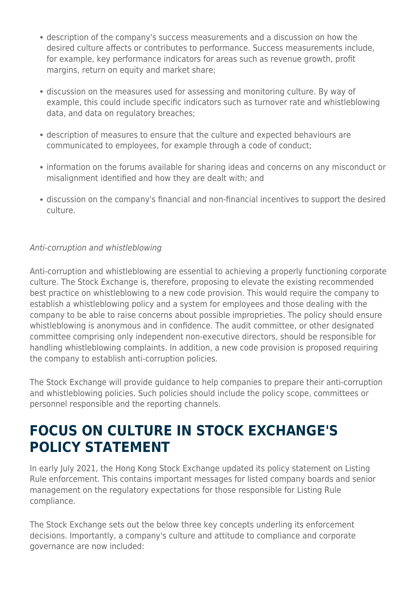- description of the company's success measurements and a discussion on how the desired culture affects or contributes to performance. Success measurements include, for example, key performance indicators for areas such as revenue growth, profit margins, return on equity and market share;
- discussion on the measures used for assessing and monitoring culture. By way of example, this could include specific indicators such as turnover rate and whistleblowing data, and data on regulatory breaches;
- description of measures to ensure that the culture and expected behaviours are communicated to employees, for example through a code of conduct;
- information on the forums available for sharing ideas and concerns on any misconduct or misalignment identified and how they are dealt with; and
- discussion on the company's financial and non-financial incentives to support the desired culture.

### Anti-corruption and whistleblowing

Anti-corruption and whistleblowing are essential to achieving a properly functioning corporate culture. The Stock Exchange is, therefore, proposing to elevate the existing recommended best practice on whistleblowing to a new code provision. This would require the company to establish a whistleblowing policy and a system for employees and those dealing with the company to be able to raise concerns about possible improprieties. The policy should ensure whistleblowing is anonymous and in confidence. The audit committee, or other designated committee comprising only independent non-executive directors, should be responsible for handling whistleblowing complaints. In addition, a new code provision is proposed requiring the company to establish anti-corruption policies.

The Stock Exchange will provide guidance to help companies to prepare their anti-corruption and whistleblowing policies. Such policies should include the policy scope, committees or personnel responsible and the reporting channels.

### **FOCUS ON CULTURE IN STOCK EXCHANGE'S POLICY STATEMENT**

In early July 2021, the Hong Kong Stock Exchange updated its policy statement on Listing Rule enforcement. This contains important messages for listed company boards and senior management on the regulatory expectations for those responsible for Listing Rule compliance.

The Stock Exchange sets out the below three key concepts underling its enforcement decisions. Importantly, a company's culture and attitude to compliance and corporate governance are now included: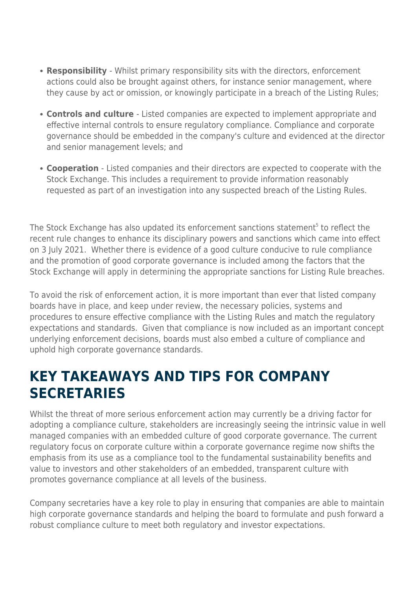- **Responsibility**  Whilst primary responsibility sits with the directors, enforcement actions could also be brought against others, for instance senior management, where they cause by act or omission, or knowingly participate in a breach of the Listing Rules;
- **Controls and culture**  Listed companies are expected to implement appropriate and effective internal controls to ensure regulatory compliance. Compliance and corporate governance should be embedded in the company's culture and evidenced at the director and senior management levels; and
- **Cooperation**  Listed companies and their directors are expected to cooperate with the Stock Exchange. This includes a requirement to provide information reasonably requested as part of an investigation into any suspected breach of the Listing Rules.

The Stock Exchange has also updated its enforcement sanctions statement<sup>5</sup> to reflect the recent rule changes to enhance its disciplinary powers and sanctions which came into effect on 3 July 2021. Whether there is evidence of a good culture conducive to rule compliance and the promotion of good corporate governance is included among the factors that the Stock Exchange will apply in determining the appropriate sanctions for Listing Rule breaches.

To avoid the risk of enforcement action, it is more important than ever that listed company boards have in place, and keep under review, the necessary policies, systems and procedures to ensure effective compliance with the Listing Rules and match the regulatory expectations and standards. Given that compliance is now included as an important concept underlying enforcement decisions, boards must also embed a culture of compliance and uphold high corporate governance standards.

### **KEY TAKEAWAYS AND TIPS FOR COMPANY SECRETARIES**

Whilst the threat of more serious enforcement action may currently be a driving factor for adopting a compliance culture, stakeholders are increasingly seeing the intrinsic value in well managed companies with an embedded culture of good corporate governance. The current regulatory focus on corporate culture within a corporate governance regime now shifts the emphasis from its use as a compliance tool to the fundamental sustainability benefits and value to investors and other stakeholders of an embedded, transparent culture with promotes governance compliance at all levels of the business.

Company secretaries have a key role to play in ensuring that companies are able to maintain high corporate governance standards and helping the board to formulate and push forward a robust compliance culture to meet both regulatory and investor expectations.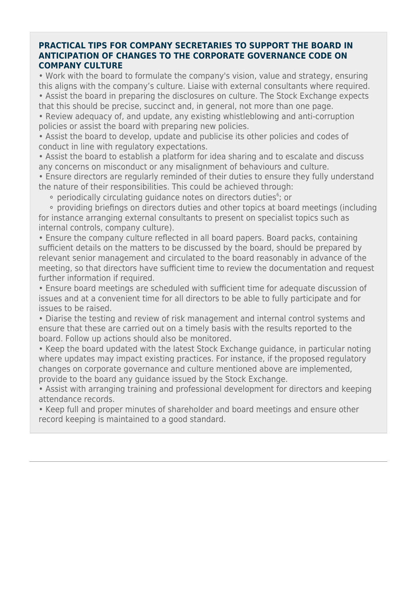#### **PRACTICAL TIPS FOR COMPANY SECRETARIES TO SUPPORT THE BOARD IN ANTICIPATION OF CHANGES TO THE CORPORATE GOVERNANCE CODE ON COMPANY CULTURE**

• Work with the board to formulate the company's vision, value and strategy, ensuring this aligns with the company's culture. Liaise with external consultants where required. • Assist the board in preparing the disclosures on culture. The Stock Exchange expects

that this should be precise, succinct and, in general, not more than one page.

• Review adequacy of, and update, any existing whistleblowing and anti-corruption policies or assist the board with preparing new policies.

• Assist the board to develop, update and publicise its other policies and codes of conduct in line with regulatory expectations.

• Assist the board to establish a platform for idea sharing and to escalate and discuss any concerns on misconduct or any misalignment of behaviours and culture.

• Ensure directors are regularly reminded of their duties to ensure they fully understand the nature of their responsibilities. This could be achieved through:

• periodically circulating guidance notes on directors duties<sup>6</sup>; or

 ⚬ providing briefings on directors duties and other topics at board meetings (including for instance arranging external consultants to present on specialist topics such as internal controls, company culture).

• Ensure the company culture reflected in all board papers. Board packs, containing sufficient details on the matters to be discussed by the board, should be prepared by relevant senior management and circulated to the board reasonably in advance of the meeting, so that directors have sufficient time to review the documentation and request further information if required.

• Ensure board meetings are scheduled with sufficient time for adequate discussion of issues and at a convenient time for all directors to be able to fully participate and for issues to be raised.

• Diarise the testing and review of risk management and internal control systems and ensure that these are carried out on a timely basis with the results reported to the board. Follow up actions should also be monitored.

• Keep the board updated with the latest Stock Exchange guidance, in particular noting where updates may impact existing practices. For instance, if the proposed regulatory changes on corporate governance and culture mentioned above are implemented, provide to the board any guidance issued by the Stock Exchange.

• Assist with arranging training and professional development for directors and keeping attendance records.

• Keep full and proper minutes of shareholder and board meetings and ensure other record keeping is maintained to a good standard.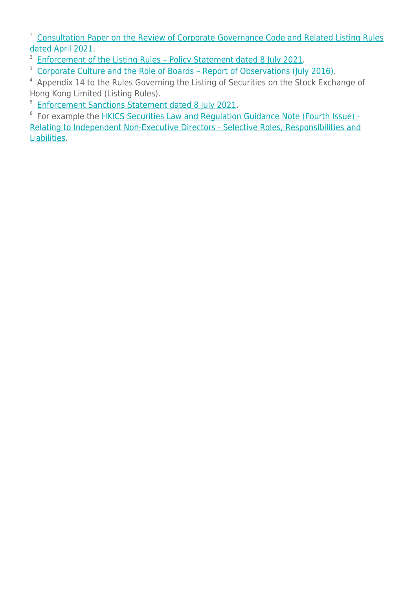<sup>1</sup> [Consultation Paper on the Review of Corporate Governance Code and Related Listing Rules](https://www.hkex.com.hk/-/media/HKEX-Market/News/Market-Consultations/2016-Present/April-2021-Review-of-CG-Code-and-LR/Consultation-Paper/cp202104.pdf) [dated April 2021.](https://www.hkex.com.hk/-/media/HKEX-Market/News/Market-Consultations/2016-Present/April-2021-Review-of-CG-Code-and-LR/Consultation-Paper/cp202104.pdf)

- <sup>2</sup> Enforcement of the Listing Rules Policy Statement dated 8 July 2021.
- <sup>3</sup> Corporate Culture and the Role of Boards Report of Observations (July 2016).

<sup>4</sup> Appendix 14 to the Rules Governing the Listing of Securities on the Stock Exchange of Hong Kong Limited (Listing Rules).

<sup>5</sup> [Enforcement Sanctions Statement dated 8 July 2021](https://www.hkex.com.hk/-/media/HKEX-Market/Listing/Rules-and-Guidance/Disciplinary-and-Enforcement/Disciplinary-Procedures-and-Enforcement-Guidance-Materials/sancs_202107.pdf?la=en).

<sup>6</sup> For example the **HKICS Securities Law and Regulation Guidance Note (Fourth Issue) -**[Relating to Independent Non-Executive Directors - Selective Roles, Responsibilities and](https://www.hkics.org.hk/publication_details.php?menu_id=6&sub_menu_id=89&nid=2461) [Liabilities.](https://www.hkics.org.hk/publication_details.php?menu_id=6&sub_menu_id=89&nid=2461)